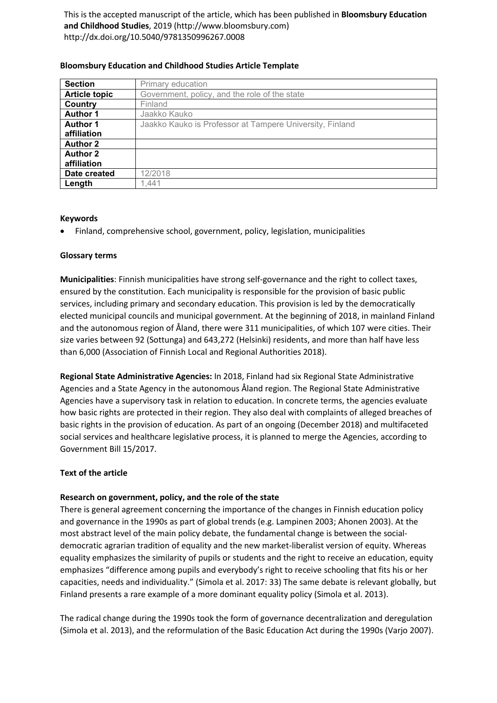This is the accepted manuscript of the article, which has been published in **Bloomsbury Education and Childhood Studies**, 2019 (http://www.bloomsbury.com) http://dx.doi.org/10.5040/9781350996267.0008

| <b>Section</b>       | Primary education                                        |
|----------------------|----------------------------------------------------------|
| <b>Article topic</b> | Government, policy, and the role of the state            |
| Country              | Finland                                                  |
| <b>Author 1</b>      | Jaakko Kauko                                             |
| <b>Author 1</b>      | Jaakko Kauko is Professor at Tampere University, Finland |
| affiliation          |                                                          |
| <b>Author 2</b>      |                                                          |
| <b>Author 2</b>      |                                                          |
| affiliation          |                                                          |
| Date created         | 12/2018                                                  |
| Length               | 1.441                                                    |

## **Bloomsbury Education and Childhood Studies Article Template**

## **Keywords**

• Finland, comprehensive school, government, policy, legislation, municipalities

## **Glossary terms**

**Municipalities**: Finnish municipalities have strong self-governance and the right to collect taxes, ensured by the constitution. Each municipality is responsible for the provision of basic public services, including primary and secondary education. This provision is led by the democratically elected municipal councils and municipal government. At the beginning of 2018, in mainland Finland and the autonomous region of Åland, there were 311 municipalities, of which 107 were cities. Their size varies between 92 (Sottunga) and 643,272 (Helsinki) residents, and more than half have less than 6,000 (Association of Finnish Local and Regional Authorities 2018).

**Regional State Administrative Agencies:** In 2018, Finland had six Regional State Administrative Agencies and a State Agency in the autonomous Åland region. The Regional State Administrative Agencies have a supervisory task in relation to education. In concrete terms, the agencies evaluate how basic rights are protected in their region. They also deal with complaints of alleged breaches of basic rights in the provision of education. As part of an ongoing (December 2018) and multifaceted social services and healthcare legislative process, it is planned to merge the Agencies, according to Government Bill 15/2017.

## **Text of the article**

## **Research on government, policy, and the role of the state**

There is general agreement concerning the importance of the changes in Finnish education policy and governance in the 1990s as part of global trends (e.g. Lampinen 2003; Ahonen 2003). At the most abstract level of the main policy debate, the fundamental change is between the socialdemocratic agrarian tradition of equality and the new market-liberalist version of equity. Whereas equality emphasizes the similarity of pupils or students and the right to receive an education, equity emphasizes "difference among pupils and everybody's right to receive schooling that fits his or her capacities, needs and individuality." (Simola et al. 2017: 33) The same debate is relevant globally, but Finland presents a rare example of a more dominant equality policy (Simola et al. 2013).

The radical change during the 1990s took the form of governance decentralization and deregulation (Simola et al. 2013), and the reformulation of the Basic Education Act during the 1990s (Varjo 2007).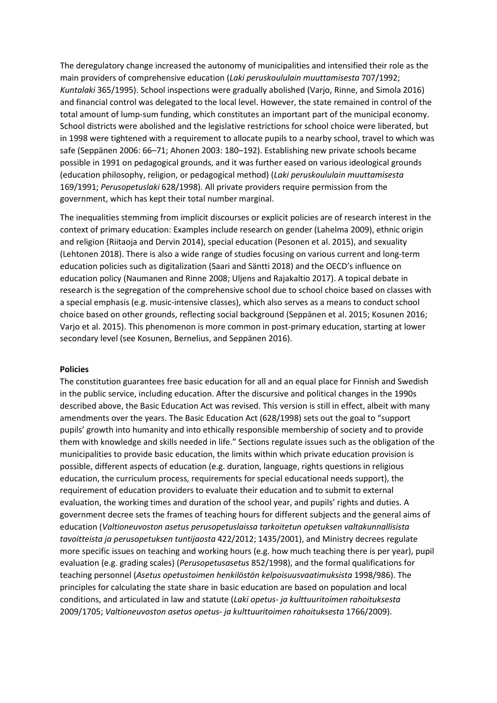The deregulatory change increased the autonomy of municipalities and intensified their role as the main providers of comprehensive education (*Laki peruskoululain muuttamisesta* 707/1992; *Kuntalaki* 365/1995). School inspections were gradually abolished (Varjo, Rinne, and Simola 2016) and financial control was delegated to the local level. However, the state remained in control of the total amount of lump-sum funding, which constitutes an important part of the municipal economy. School districts were abolished and the legislative restrictions for school choice were liberated, but in 1998 were tightened with a requirement to allocate pupils to a nearby school, travel to which was safe (Seppänen 2006: 66–71; Ahonen 2003: 180–192). Establishing new private schools became possible in 1991 on pedagogical grounds, and it was further eased on various ideological grounds (education philosophy, religion, or pedagogical method) (*Laki peruskoululain muuttamisesta* 169/1991; *Perusopetuslaki* 628/1998). All private providers require permission from the government, which has kept their total number marginal.

The inequalities stemming from implicit discourses or explicit policies are of research interest in the context of primary education: Examples include research on gender (Lahelma 2009), ethnic origin and religion (Riitaoja and Dervin 2014), special education (Pesonen et al. 2015), and sexuality (Lehtonen 2018). There is also a wide range of studies focusing on various current and long-term education policies such as digitalization (Saari and Säntti 2018) and the OECD's influence on education policy (Naumanen and Rinne 2008; Uljens and Rajakaltio 2017). A topical debate in research is the segregation of the comprehensive school due to school choice based on classes with a special emphasis (e.g. music-intensive classes), which also serves as a means to conduct school choice based on other grounds, reflecting social background (Seppänen et al. 2015; Kosunen 2016; Varjo et al. 2015). This phenomenon is more common in post-primary education, starting at lower secondary level (see Kosunen, Bernelius, and Seppänen 2016).

### **Policies**

The constitution guarantees free basic education for all and an equal place for Finnish and Swedish in the public service, including education. After the discursive and political changes in the 1990s described above, the Basic Education Act was revised. This version is still in effect, albeit with many amendments over the years. The Basic Education Act (628/1998) sets out the goal to "support pupils' growth into humanity and into ethically responsible membership of society and to provide them with knowledge and skills needed in life." Sections regulate issues such as the obligation of the municipalities to provide basic education, the limits within which private education provision is possible, different aspects of education (e.g. duration, language, rights questions in religious education, the curriculum process, requirements for special educational needs support), the requirement of education providers to evaluate their education and to submit to external evaluation, the working times and duration of the school year, and pupils' rights and duties. A government decree sets the frames of teaching hours for different subjects and the general aims of education (*Valtioneuvoston asetus perusopetuslaissa tarkoitetun opetuksen valtakunnallisista tavoitteista ja perusopetuksen tuntijaosta* 422/2012; 1435/2001), and Ministry decrees regulate more specific issues on teaching and working hours (e.g. how much teaching there is per year), pupil evaluation (e.g. grading scales) (*Perusopetusasetus* 852/1998), and the formal qualifications for teaching personnel (*Asetus opetustoimen henkilöstön kelpoisuusvaatimuksista* 1998/986). The principles for calculating the state share in basic education are based on population and local conditions, and articulated in law and statute (*Laki opetus- ja kulttuuritoimen rahoituksesta* 2009/1705; *Valtioneuvoston asetus opetus- ja kulttuuritoimen rahoituksesta* 1766/2009).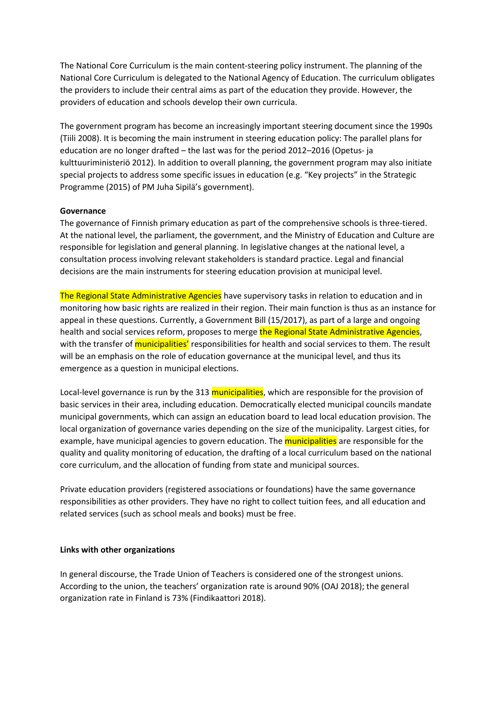The National Core Curriculum is the main content-steering policy instrument. The planning of the National Core Curriculum is delegated to the National Agency of Education. The curriculum obligates the providers to include their central aims as part of the education they provide. However, the providers of education and schools develop their own curricula.

The government program has become an increasingly important steering document since the 1990s (Tiili 2008). It is becoming the main instrument in steering education policy: The parallel plans for education are no longer drafted – the last was for the period 2012–2016 (Opetus- ja kulttuuriministeriö 2012). In addition to overall planning, the government program may also initiate special projects to address some specific issues in education (e.g. "Key projects" in the Strategic Programme (2015) of PM Juha Sipilä's government).

### **Governance**

The governance of Finnish primary education as part of the comprehensive schools is three-tiered. At the national level, the parliament, the government, and the Ministry of Education and Culture are responsible for legislation and general planning. In legislative changes at the national level, a consultation process involving relevant stakeholders is standard practice. Legal and financial decisions are the main instruments for steering education provision at municipal level.

The Regional State Administrative Agencies have supervisory tasks in relation to education and in monitoring how basic rights are realized in their region. Their main function is thus as an instance for appeal in these questions. Currently, a Government Bill (15/2017), as part of a large and ongoing health and social services reform, proposes to merge the Regional State Administrative Agencies, with the transfer of *municipalities'* responsibilities for health and social services to them. The result will be an emphasis on the role of education governance at the municipal level, and thus its emergence as a question in municipal elections.

Local-level governance is run by the 313 municipalities, which are responsible for the provision of basic services in their area, including education. Democratically elected municipal councils mandate municipal governments, which can assign an education board to lead local education provision. The local organization of governance varies depending on the size of the municipality. Largest cities, for example, have municipal agencies to govern education. The *municipalities* are responsible for the quality and quality monitoring of education, the drafting of a local curriculum based on the national core curriculum, and the allocation of funding from state and municipal sources.

Private education providers (registered associations or foundations) have the same governance responsibilities as other providers. They have no right to collect tuition fees, and all education and related services (such as school meals and books) must be free.

### **Links with other organizations**

In general discourse, the Trade Union of Teachers is considered one of the strongest unions. According to the union, the teachers' organization rate is around 90% (OAJ 2018); the general organization rate in Finland is 73% (Findikaattori 2018).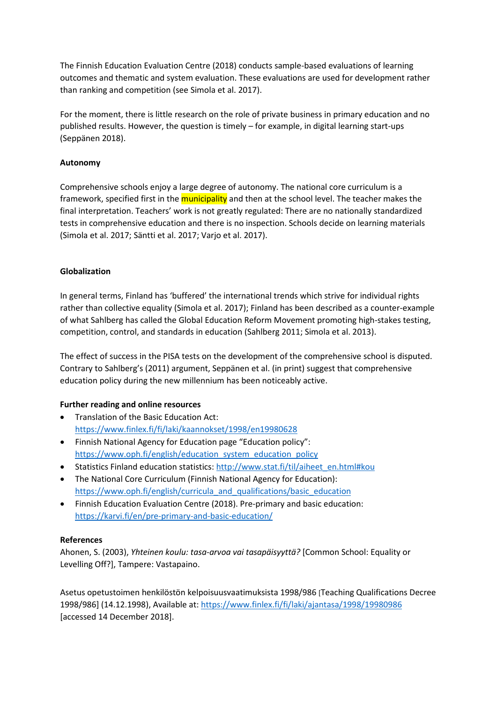The Finnish Education Evaluation Centre (2018) conducts sample-based evaluations of learning outcomes and thematic and system evaluation. These evaluations are used for development rather than ranking and competition (see Simola et al. 2017).

For the moment, there is little research on the role of private business in primary education and no published results. However, the question is timely – for example, in digital learning start-ups (Seppänen 2018).

# **Autonomy**

Comprehensive schools enjoy a large degree of autonomy. The national core curriculum is a framework, specified first in the municipality and then at the school level. The teacher makes the final interpretation. Teachers' work is not greatly regulated: There are no nationally standardized tests in comprehensive education and there is no inspection. Schools decide on learning materials (Simola et al. 2017; Säntti et al. 2017; Varjo et al. 2017).

# **Globalization**

In general terms, Finland has 'buffered' the international trends which strive for individual rights rather than collective equality (Simola et al. 2017); Finland has been described as a counter-example of what Sahlberg has called the Global Education Reform Movement promoting high-stakes testing, competition, control, and standards in education (Sahlberg 2011; Simola et al. 2013).

The effect of success in the PISA tests on the development of the comprehensive school is disputed. Contrary to Sahlberg's (2011) argument, Seppänen et al. (in print) suggest that comprehensive education policy during the new millennium has been noticeably active.

## **Further reading and online resources**

- Translation of the Basic Education Act: <https://www.finlex.fi/fi/laki/kaannokset/1998/en19980628>
- Finnish National Agency for Education page "Education policy": [https://www.oph.fi/english/education\\_system\\_education\\_policy](https://www.oph.fi/english/education_system_education_policy)
- Statistics Finland education statistics: [http://www.stat.fi/til/aiheet\\_en.html#kou](http://www.stat.fi/til/aiheet_en.html#kou)
- The National Core Curriculum (Finnish National Agency for Education): [https://www.oph.fi/english/curricula\\_and\\_qualifications/basic\\_education](https://www.oph.fi/english/curricula_and_qualifications/basic_education)
- Finnish Education Evaluation Centre (2018). Pre-primary and basic education: <https://karvi.fi/en/pre-primary-and-basic-education/>

## **References**

Ahonen, S. (2003), *Yhteinen koulu: tasa-arvoa vai tasapäisyyttä?* [Common School: Equality or Levelling Off?], Tampere: Vastapaino.

Asetus opetustoimen henkilöstön kelpoisuusvaatimuksista 1998/986 [Teaching Qualifications Decree 1998/986] (14.12.1998), Available at:<https://www.finlex.fi/fi/laki/ajantasa/1998/19980986> [accessed 14 December 2018].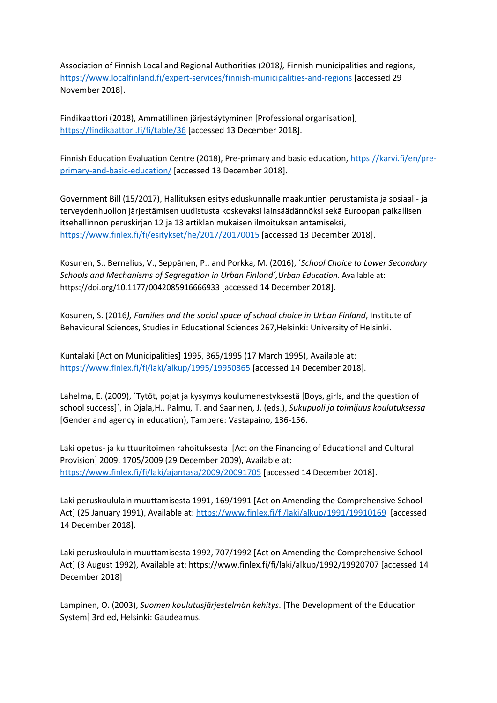Association of Finnish Local and Regional Authorities (2018*),* Finnish municipalities and regions, <https://www.localfinland.fi/expert-services/finnish-municipalities-and-regions> [accessed 29 November 2018].

Findikaattori (2018), Ammatillinen järjestäytyminen [Professional organisation], <https://findikaattori.fi/fi/table/36> [accessed 13 December 2018].

Finnish Education Evaluation Centre (2018), Pre-primary and basic education, [https://karvi.fi/en/pre](https://karvi.fi/en/pre-primary-and-basic-education/)[primary-and-basic-education/](https://karvi.fi/en/pre-primary-and-basic-education/) [accessed 13 December 2018].

Government Bill (15/2017), Hallituksen esitys eduskunnalle maakuntien perustamista ja sosiaali- ja terveydenhuollon järjestämisen uudistusta koskevaksi lainsäädännöksi sekä Euroopan paikallisen itsehallinnon peruskirjan 12 ja 13 artiklan mukaisen ilmoituksen antamiseksi, <https://www.finlex.fi/fi/esitykset/he/2017/20170015> [accessed 13 December 2018].

Kosunen, S., Bernelius, V., Seppänen, P., and Porkka, M. (2016), ´*School Choice to Lower Secondary Schools and Mechanisms of Segregation in Urban Finland´,Urban Education.* Available at: <https://doi.org/10.1177/0042085916666933> [accessed 14 December 2018].

Kosunen, S. (2016*), Families and the social space of school choice in Urban Finland*, Institute of Behavioural Sciences, Studies in Educational Sciences 267,Helsinki: University of Helsinki.

Kuntalaki [Act on Municipalities] 1995, 365/1995 (17 March 1995), Available at: <https://www.finlex.fi/fi/laki/alkup/1995/19950365> [accessed 14 December 2018].

Lahelma, E. (2009), ´Tytöt, pojat ja kysymys koulumenestyksestä [Boys, girls, and the question of school success]´, in Ojala,H., Palmu, T. and Saarinen, J. (eds.), *Sukupuoli ja toimijuus koulutuksessa* [Gender and agency in education), Tampere: Vastapaino, 136-156.

Laki opetus- ja kulttuuritoimen rahoituksesta [Act on the Financing of Educational and Cultural Provision] 2009, 1705/2009 (29 December 2009), Available at: <https://www.finlex.fi/fi/laki/ajantasa/2009/20091705> [accessed 14 December 2018].

Laki peruskoululain muuttamisesta 1991, 169/1991 [Act on Amending the Comprehensive School Act] (25 January 1991), Available at: <https://www.finlex.fi/fi/laki/alkup/1991/19910169>[accessed 14 December 2018].

Laki peruskoululain muuttamisesta 1992, 707/1992 [Act on Amending the Comprehensive School Act] (3 August 1992), Available at: https://www.finlex.fi/fi/laki/alkup/1992/19920707 [accessed 14 December 2018]

Lampinen, O. (2003), *Suomen koulutusjärjestelmän kehitys*. [The Development of the Education System] 3rd ed, Helsinki: Gaudeamus.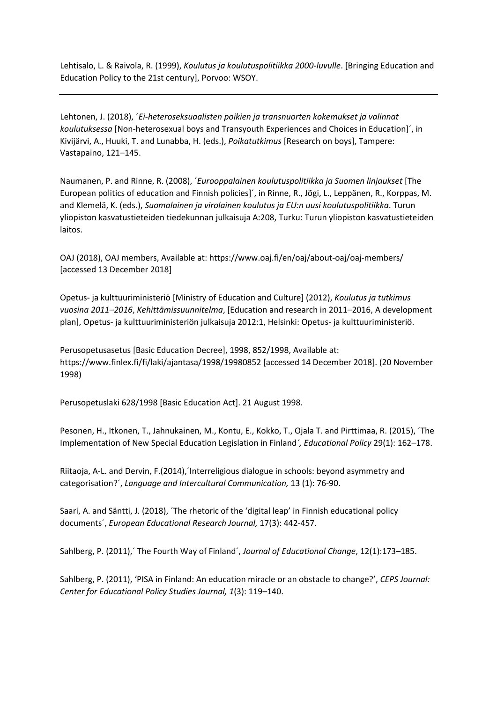Lehtisalo, L. & Raivola, R. (1999), *Koulutus ja koulutuspolitiikka 2000-luvulle*. [Bringing Education and Education Policy to the 21st century], Porvoo: WSOY.

Lehtonen, J. (2018), ´*Ei-heteroseksuaalisten poikien ja transnuorten kokemukset ja valinnat koulutuksessa* [Non-heterosexual boys and Transyouth Experiences and Choices in Education]´, in Kivijärvi, A., Huuki, T. and Lunabba, H. (eds.), *Poikatutkimus* [Research on boys], Tampere: Vastapaino, 121–145.

Naumanen, P. and Rinne, R. (2008), ´*Eurooppalainen koulutuspolitiikka ja Suomen linjaukset* [The European politics of education and Finnish policies]´, in Rinne, R., Jõgi, L., Leppänen, R., Korppas, M. and Klemelä, K. (eds.), *Suomalainen ja virolainen koulutus ja EU:n uusi koulutuspolitiikka*. Turun yliopiston kasvatustieteiden tiedekunnan julkaisuja A:208, Turku: Turun yliopiston kasvatustieteiden laitos.

OAJ (2018), OAJ members, Available at: https://www.oaj.fi/en/oaj/about-oaj/oaj-members/ [accessed 13 December 2018]

Opetus- ja kulttuuriministeriö [Ministry of Education and Culture] (2012), *Koulutus ja tutkimus vuosina 2011–2016*, *Kehittämissuunnitelma*, [Education and research in 2011–2016, A development plan], Opetus- ja kulttuuriministeriön julkaisuja 2012:1, Helsinki: Opetus- ja kulttuuriministeriö.

Perusopetusasetus [Basic Education Decree], 1998, 852/1998, Available at: https://www.finlex.fi/fi/laki/ajantasa/1998/19980852 [accessed 14 December 2018]. (20 November 1998)

Perusopetuslaki 628/1998 [Basic Education Act]. 21 August 1998.

Pesonen, H., Itkonen, T., Jahnukainen, M., Kontu, E., Kokko, T., Ojala T. and Pirttimaa, R. (2015), ´The Implementation of New Special Education Legislation in Finland*´, Educational Policy* 29(1): 162–178.

Riitaoja, A-L. and Dervin, F.(2014),´Interreligious dialogue in schools: beyond asymmetry and categorisation?´, *Language and Intercultural Communication,* 13 (1): 76-90.

Saari, A. and Säntti, J. (2018), ´The rhetoric of the 'digital leap' in Finnish educational policy documents´, *European Educational Research Journal,* 17(3): 442-457.

Sahlberg, P. (2011),´ The Fourth Way of Finland´, *Journal of Educational Change*, 12(1):173–185.

Sahlberg, P. (2011), 'PISA in Finland: An education miracle or an obstacle to change?', *CEPS Journal: Center for Educational Policy Studies Journal, 1*(3): 119–140.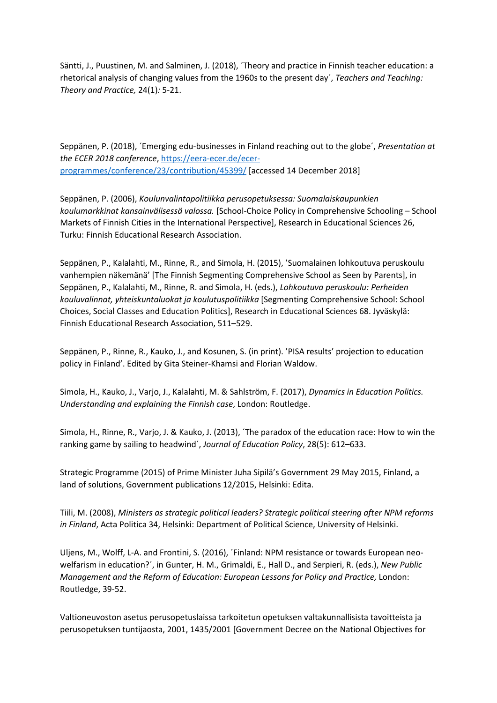Säntti, J., Puustinen, M. and Salminen, J. (2018), ´Theory and practice in Finnish teacher education: a rhetorical analysis of changing values from the 1960s to the present day´, *Teachers and Teaching: Theory and Practice,* 24(1)*:* 5-21.

Seppänen, P. (2018), ´Emerging edu-businesses in Finland reaching out to the globe´, *Presentation at the ECER 2018 conference*, [https://eera-ecer.de/ecer](https://eera-ecer.de/ecer-programmes/conference/23/contribution/45399/)[programmes/conference/23/contribution/45399/](https://eera-ecer.de/ecer-programmes/conference/23/contribution/45399/) [accessed 14 December 2018]

Seppänen, P. (2006), *Koulunvalintapolitiikka perusopetuksessa: Suomalaiskaupunkien koulumarkkinat kansainvälisessä valossa.* [School-Choice Policy in Comprehensive Schooling – School Markets of Finnish Cities in the International Perspective], Research in Educational Sciences 26, Turku: Finnish Educational Research Association.

Seppänen, P., Kalalahti, M., Rinne, R., and Simola, H. (2015), 'Suomalainen lohkoutuva peruskoulu vanhempien näkemänä' [The Finnish Segmenting Comprehensive School as Seen by Parents], in Seppänen, P., Kalalahti, M., Rinne, R. and Simola, H. (eds.), *Lohkoutuva peruskoulu: Perheiden kouluvalinnat, yhteiskuntaluokat ja koulutuspolitiikka* [Segmenting Comprehensive School: School Choices, Social Classes and Education Politics], Research in Educational Sciences 68. Jyväskylä: Finnish Educational Research Association, 511–529.

Seppänen, P., Rinne, R., Kauko, J., and Kosunen, S. (in print). 'PISA results' projection to education policy in Finland'. Edited by Gita Steiner-Khamsi and Florian Waldow.

Simola, H., Kauko, J., Varjo, J., Kalalahti, M. & Sahlström, F. (2017), *Dynamics in Education Politics. Understanding and explaining the Finnish case*, London: Routledge.

Simola, H., Rinne, R., Varjo, J. & Kauko, J. (2013), ´The paradox of the education race: How to win the ranking game by sailing to headwind´, *Journal of Education Policy*, 28(5): 612–633.

Strategic Programme (2015) of Prime Minister Juha Sipilä's Government 29 May 2015, Finland, a land of solutions, Government publications 12/2015, Helsinki: Edita.

Tiili, M. (2008), *Ministers as strategic political leaders? Strategic political steering after NPM reforms in Finland*, Acta Politica 34, Helsinki: Department of Political Science, University of Helsinki.

Uljens, M., Wolff, L-A. and Frontini, S. (2016), ´Finland: NPM resistance or towards European neowelfarism in education?´, in Gunter, H. M., Grimaldi, E., Hall D., and Serpieri, R. (eds.), *New Public Management and the Reform of Education: European Lessons for Policy and Practice,* London: Routledge, 39-52.

Valtioneuvoston asetus perusopetuslaissa tarkoitetun opetuksen valtakunnallisista tavoitteista ja perusopetuksen tuntijaosta, 2001, 1435/2001 [Government Decree on the National Objectives for